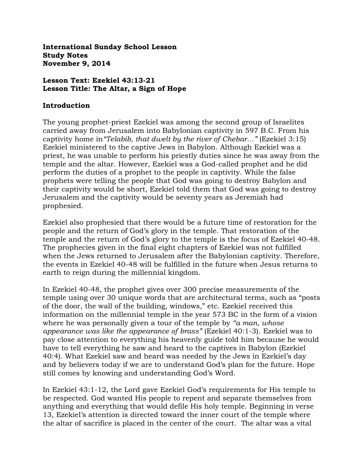**International Sunday School Lesson Study Notes November 9, 2014**

### **Lesson Text: Ezekiel 43:13-21 Lesson Title: The Altar, a Sign of Hope**

#### **Introduction**

The young prophet-priest Ezekiel was among the second group of Israelites carried away from Jerusalem into Babylonian captivity in 597 B.C. From his captivity home in*"Telabib, that dwelt by the river of Chebar…"* (Ezekiel 3:15) Ezekiel ministered to the captive Jews in Babylon. Although Ezekiel was a priest, he was unable to perform his priestly duties since he was away from the temple and the altar. However, Ezekiel was a God-called prophet and he did perform the duties of a prophet to the people in captivity. While the false prophets were telling the people that God was going to destroy Babylon and their captivity would be short, Ezekiel told them that God was going to destroy Jerusalem and the captivity would be seventy years as Jeremiah had prophesied.

Ezekiel also prophesied that there would be a future time of restoration for the people and the return of God"s glory in the temple. That restoration of the temple and the return of God"s glory to the temple is the focus of Ezekiel 40-48. The prophecies given in the final eight chapters of Ezekiel was not fulfilled when the Jews returned to Jerusalem after the Babylonian captivity. Therefore, the events in Ezekiel 40-48 will be fulfilled in the future when Jesus returns to earth to reign during the millennial kingdom.

In Ezekiel 40-48, the prophet gives over 300 precise measurements of the temple using over 30 unique words that are architectural terms, such as "posts of the door, the wall of the building, windows," etc. Ezekiel received this information on the millennial temple in the year 573 BC in the form of a vision where he was personally given a tour of the temple by *"a man, whose appearance was like the appearance of brass"* (Ezekiel 40:1-3). Ezekiel was to pay close attention to everything his heavenly guide told him because he would have to tell everything he saw and heard to the captives in Babylon (Ezekiel 40:4). What Ezekiel saw and heard was needed by the Jews in Ezekiel"s day and by believers today if we are to understand God"s plan for the future. Hope still comes by knowing and understanding God's Word.

In Ezekiel 43:1-12, the Lord gave Ezekiel God"s requirements for His temple to be respected. God wanted His people to repent and separate themselves from anything and everything that would defile His holy temple. Beginning in verse 13, Ezekiel's attention is directed toward the inner court of the temple where the altar of sacrifice is placed in the center of the court. The altar was a vital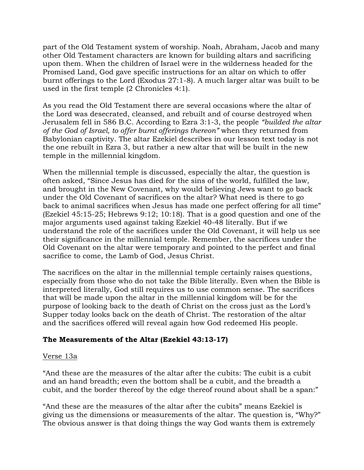part of the Old Testament system of worship. Noah, Abraham, Jacob and many other Old Testament characters are known for building altars and sacrificing upon them. When the children of Israel were in the wilderness headed for the Promised Land, God gave specific instructions for an altar on which to offer burnt offerings to the Lord (Exodus 27:1-8). A much larger altar was built to be used in the first temple (2 Chronicles 4:1).

As you read the Old Testament there are several occasions where the altar of the Lord was desecrated, cleansed, and rebuilt and of course destroyed when Jerusalem fell in 586 B.C. According to Ezra 3:1-3, the people *"builded the altar of the God of Israel, to offer burnt offerings thereon"* when they returned from Babylonian captivity. The altar Ezekiel describes in our lesson text today is not the one rebuilt in Ezra 3, but rather a new altar that will be built in the new temple in the millennial kingdom.

When the millennial temple is discussed, especially the altar, the question is often asked, "Since Jesus has died for the sins of the world, fulfilled the law, and brought in the New Covenant, why would believing Jews want to go back under the Old Covenant of sacrifices on the altar? What need is there to go back to animal sacrifices when Jesus has made one perfect offering for all time" (Ezekiel 45:15-25; Hebrews 9:12; 10:18). That is a good question and one of the major arguments used against taking Ezekiel 40-48 literally. But if we understand the role of the sacrifices under the Old Covenant, it will help us see their significance in the millennial temple. Remember, the sacrifices under the Old Covenant on the altar were temporary and pointed to the perfect and final sacrifice to come, the Lamb of God, Jesus Christ.

The sacrifices on the altar in the millennial temple certainly raises questions, especially from those who do not take the Bible literally. Even when the Bible is interpreted literally, God still requires us to use common sense. The sacrifices that will be made upon the altar in the millennial kingdom will be for the purpose of looking back to the death of Christ on the cross just as the Lord"s Supper today looks back on the death of Christ. The restoration of the altar and the sacrifices offered will reveal again how God redeemed His people.

# **The Measurements of the Altar (Ezekiel 43:13-17)**

### Verse 13a

"And these are the measures of the altar after the cubits: The cubit is a cubit and an hand breadth; even the bottom shall be a cubit, and the breadth a cubit, and the border thereof by the edge thereof round about shall be a span:"

"And these are the measures of the altar after the cubits" means Ezekiel is giving us the dimensions or measurements of the altar. The question is, "Why?" The obvious answer is that doing things the way God wants them is extremely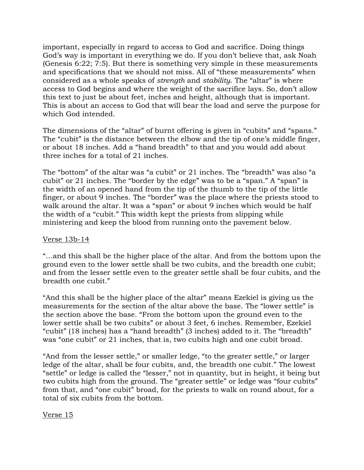important, especially in regard to access to God and sacrifice. Doing things God"s way is important in everything we do. If you don"t believe that, ask Noah (Genesis 6:22; 7:5). But there is something very simple in these measurements and specifications that we should not miss. All of "these measurements" when considered as a whole speaks of *strength* and *stability*. The "altar" is where access to God begins and where the weight of the sacrifice lays. So, don't allow this text to just be about feet, inches and height, although that is important. This is about an access to God that will bear the load and serve the purpose for which God intended.

The dimensions of the "altar" of burnt offering is given in "cubits" and "spans." The "cubit" is the distance between the elbow and the tip of one's middle finger, or about 18 inches. Add a "hand breadth" to that and you would add about three inches for a total of 21 inches.

The "bottom" of the altar was "a cubit" or 21 inches. The "breadth" was also "a cubit" or 21 inches. The "border by the edge" was to be a "span." A "span" is the width of an opened hand from the tip of the thumb to the tip of the little finger, or about 9 inches. The "border" was the place where the priests stood to walk around the altar. It was a "span" or about 9 inches which would be half the width of a "cubit." This width kept the priests from slipping while ministering and keep the blood from running onto the pavement below.

### Verse 13b-14

"…and this shall be the higher place of the altar. And from the bottom upon the ground even to the lower settle shall be two cubits, and the breadth one cubit; and from the lesser settle even to the greater settle shall be four cubits, and the breadth one cubit."

"And this shall be the higher place of the altar" means Ezekiel is giving us the measurements for the section of the altar above the base. The "lower settle" is the section above the base. "From the bottom upon the ground even to the lower settle shall be two cubits" or about 3 feet, 6 inches. Remember, Ezekiel "cubit" (18 inches) has a "hand breadth" (3 inches) added to it. The "breadth" was "one cubit" or 21 inches, that is, two cubits high and one cubit broad.

"And from the lesser settle," or smaller ledge, "to the greater settle," or larger ledge of the altar, shall be four cubits, and, the breadth one cubit." The lowest "settle" or ledge is called the "lesser," not in quantity, but in height, it being but two cubits high from the ground. The "greater settle" or ledge was "four cubits" from that, and "one cubit" broad, for the priests to walk on round about, for a total of six cubits from the bottom.

Verse 15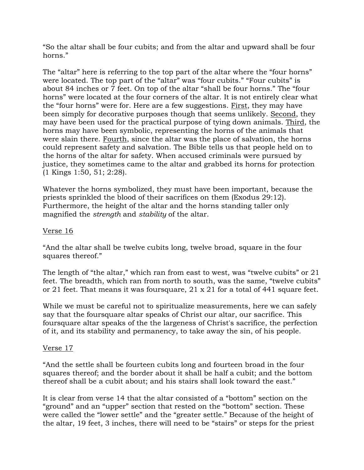"So the altar shall be four cubits; and from the altar and upward shall be four horns."

The "altar" here is referring to the top part of the altar where the "four horns" were located. The top part of the "altar" was "four cubits." "Four cubits" is about 84 inches or 7 feet. On top of the altar "shall be four horns." The "four horns" were located at the four corners of the altar. It is not entirely clear what the "four horns" were for. Here are a few suggestions. First, they may have been simply for decorative purposes though that seems unlikely. Second, they may have been used for the practical purpose of tying down animals. Third, the horns may have been symbolic, representing the horns of the animals that were slain there. Fourth, since the altar was the place of salvation, the horns could represent safety and salvation. The Bible tells us that people held on to the horns of the altar for safety. When accused criminals were pursued by justice, they sometimes came to the altar and grabbed its horns for protection (1 Kings 1:50, 51; 2:28).

Whatever the horns symbolized, they must have been important, because the priests sprinkled the blood of their sacrifices on them (Exodus 29:12). Furthermore, the height of the altar and the horns standing taller only magnified the *strength* and *stability* of the altar.

### Verse 16

"And the altar shall be twelve cubits long, twelve broad, square in the four squares thereof."

The length of "the altar," which ran from east to west, was "twelve cubits" or 21 feet. The breadth, which ran from north to south, was the same, "twelve cubits" or 21 feet. That means it was foursquare, 21 x 21 for a total of 441 square feet.

While we must be careful not to spiritualize measurements, here we can safely say that the foursquare altar speaks of Christ our altar, our sacrifice. This foursquare altar speaks of the the largeness of Christ's sacrifice, the perfection of it, and its stability and permanency, to take away the sin, of his people.

### Verse 17

"And the settle shall be fourteen cubits long and fourteen broad in the four squares thereof; and the border about it shall be half a cubit; and the bottom thereof shall be a cubit about; and his stairs shall look toward the east."

It is clear from verse 14 that the altar consisted of a "bottom" section on the "ground" and an "upper" section that rested on the "bottom" section. These were called the "lower settle" and the "greater settle." Because of the height of the altar, 19 feet, 3 inches, there will need to be "stairs" or steps for the priest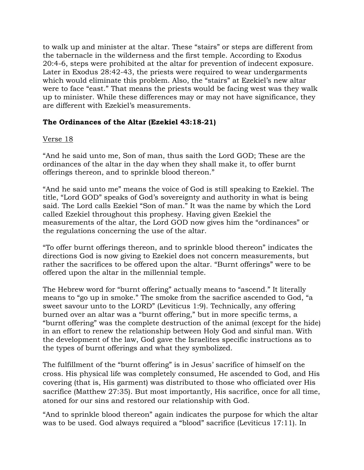to walk up and minister at the altar. These "stairs" or steps are different from the tabernacle in the wilderness and the first temple. According to Exodus 20:4-6, steps were prohibited at the altar for prevention of indecent exposure. Later in Exodus 28:42-43, the priests were required to wear undergarments which would eliminate this problem. Also, the "stairs" at Ezekiel's new altar were to face "east." That means the priests would be facing west was they walk up to minister. While these differences may or may not have significance, they are different with Ezekiel's measurements.

# **The Ordinances of the Altar (Ezekiel 43:18-21)**

### Verse 18

"And he said unto me, Son of man, thus saith the Lord GOD; These are the ordinances of the altar in the day when they shall make it, to offer burnt offerings thereon, and to sprinkle blood thereon."

"And he said unto me" means the voice of God is still speaking to Ezekiel. The title, "Lord GOD" speaks of God's sovereignty and authority in what is being said. The Lord calls Ezekiel "Son of man." It was the name by which the Lord called Ezekiel throughout this prophesy. Having given Ezekiel the measurements of the altar, the Lord GOD now gives him the "ordinances" or the regulations concerning the use of the altar.

"To offer burnt offerings thereon, and to sprinkle blood thereon" indicates the directions God is now giving to Ezekiel does not concern measurements, but rather the sacrifices to be offered upon the altar. "Burnt offerings" were to be offered upon the altar in the millennial temple.

The Hebrew word for "burnt offering" actually means to "ascend." It literally means to "go up in smoke." The smoke from the sacrifice ascended to God, "a sweet savour unto to the LORD" (Leviticus 1:9). Technically, any offering burned over an altar was a "burnt offering," but in more specific terms, a "burnt offering" was the complete destruction of the animal (except for the hide) in an effort to renew the relationship between Holy God and sinful man. With the development of the law, God gave the Israelites specific instructions as to the types of burnt offerings and what they symbolized.

The fulfillment of the "burnt offering" is in Jesus' sacrifice of himself on the cross. His physical life was completely consumed, He ascended to God, and His covering (that is, His garment) was distributed to those who officiated over His sacrifice (Matthew 27:35). But most importantly, His sacrifice, once for all time, atoned for our sins and restored our relationship with God.

"And to sprinkle blood thereon" again indicates the purpose for which the altar was to be used. God always required a "blood" sacrifice (Leviticus 17:11). In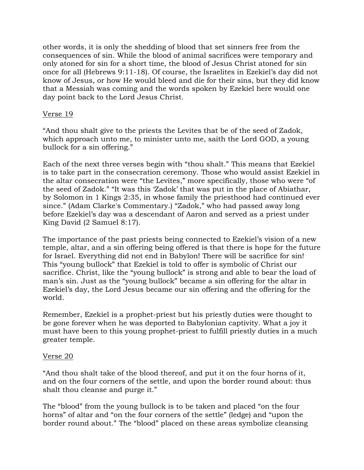other words, it is only the shedding of blood that set sinners free from the consequences of sin. While the blood of animal sacrifices were temporary and only atoned for sin for a short time, the blood of Jesus Christ atoned for sin once for all (Hebrews 9:11-18). Of course, the Israelites in Ezekiel"s day did not know of Jesus, or how He would bleed and die for their sins, but they did know that a Messiah was coming and the words spoken by Ezekiel here would one day point back to the Lord Jesus Christ.

### Verse 19

"And thou shalt give to the priests the Levites that be of the seed of Zadok, which approach unto me, to minister unto me, saith the Lord GOD, a young bullock for a sin offering."

Each of the next three verses begin with "thou shalt." This means that Ezekiel is to take part in the consecration ceremony. Those who would assist Ezekiel in the altar consecration were "the Levites," more specifically, those who were "of the seed of Zadok." "It was this "Zadok" that was put in the place of Abiathar, by Solomon in 1 Kings 2:35, in whose family the priesthood had continued ever since." (Adam Clarke's Commentary.) "Zadok," who had passed away long before Ezekiel"s day was a descendant of Aaron and served as a priest under King David (2 Samuel 8:17).

The importance of the past priests being connected to Ezekiel"s vision of a new temple, altar, and a sin offering being offered is that there is hope for the future for Israel. Everything did not end in Babylon! There will be sacrifice for sin! This "young bullock" that Ezekiel is told to offer is symbolic of Christ our sacrifice. Christ, like the "young bullock" is strong and able to bear the load of man's sin. Just as the "young bullock" became a sin offering for the altar in Ezekiel's day, the Lord Jesus became our sin offering and the offering for the world.

Remember, Ezekiel is a prophet-priest but his priestly duties were thought to be gone forever when he was deported to Babylonian captivity. What a joy it must have been to this young prophet-priest to fulfill priestly duties in a much greater temple.

### Verse 20

"And thou shalt take of the blood thereof, and put it on the four horns of it, and on the four corners of the settle, and upon the border round about: thus shalt thou cleanse and purge it."

The "blood" from the young bullock is to be taken and placed "on the four horns" of altar and "on the four corners of the settle" (ledge) and "upon the border round about." The "blood" placed on these areas symbolize cleansing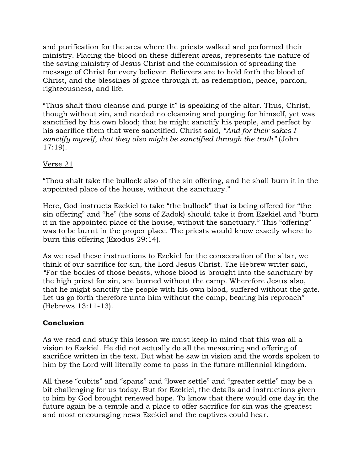and purification for the area where the priests walked and performed their ministry. Placing the blood on these different areas, represents the nature of the saving ministry of Jesus Christ and the commission of spreading the message of Christ for every believer. Believers are to hold forth the blood of Christ, and the blessings of grace through it, as redemption, peace, pardon, righteousness, and life.

"Thus shalt thou cleanse and purge it" is speaking of the altar. Thus, Christ, though without sin, and needed no cleansing and purging for himself, yet was sanctified by his own blood; that he might sanctify his people, and perfect by his sacrifice them that were sanctified. Christ said, *"And for their sakes I sanctify myself, that they also might be sanctified through the truth"* (John 17:19).

# Verse 21

"Thou shalt take the bullock also of the sin offering, and he shall burn it in the appointed place of the house, without the sanctuary."

Here, God instructs Ezekiel to take "the bullock" that is being offered for "the sin offering" and "he" (the sons of Zadok) should take it from Ezekiel and "burn it in the appointed place of the house, without the sanctuary." This "offering" was to be burnt in the proper place. The priests would know exactly where to burn this offering (Exodus 29:14).

As we read these instructions to Ezekiel for the consecration of the altar, we think of our sacrifice for sin, the Lord Jesus Christ. The Hebrew writer said, *"*For the bodies of those beasts, whose blood is brought into the sanctuary by the high priest for sin, are burned without the camp. Wherefore Jesus also, that he might sanctify the people with his own blood, suffered without the gate. Let us go forth therefore unto him without the camp, bearing his reproach" (Hebrews 13:11-13).

# **Conclusion**

As we read and study this lesson we must keep in mind that this was all a vision to Ezekiel. He did not actually do all the measuring and offering of sacrifice written in the text. But what he saw in vision and the words spoken to him by the Lord will literally come to pass in the future millennial kingdom.

All these "cubits" and "spans" and "lower settle" and "greater settle" may be a bit challenging for us today. But for Ezekiel, the details and instructions given to him by God brought renewed hope. To know that there would one day in the future again be a temple and a place to offer sacrifice for sin was the greatest and most encouraging news Ezekiel and the captives could hear.